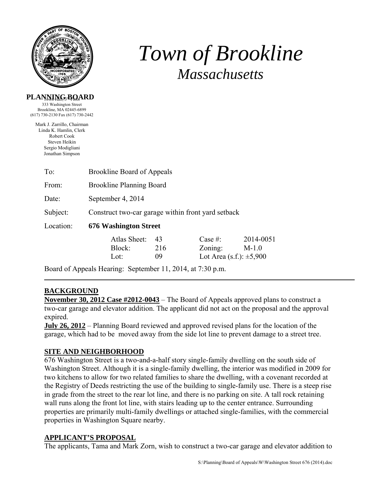

# *Town of Brookline Massachusetts*

## **PLANNING BOARD**

333 Washington Street Brookline, MA 02445-6899 (617) 730-2130 Fax (617) 730-2442

Mark J. Zarrillo, Chairman Linda K. Hamlin, Clerk Robert Cook Steven Heikin Sergio Modigliani Jonathan Simpson

| To:       | <b>Brookline Board of Appeals</b>                  |     |                                 |           |  |
|-----------|----------------------------------------------------|-----|---------------------------------|-----------|--|
| From:     | <b>Brookline Planning Board</b>                    |     |                                 |           |  |
| Date:     | September 4, 2014                                  |     |                                 |           |  |
| Subject:  | Construct two-car garage within front yard setback |     |                                 |           |  |
| Location: | <b>676 Washington Street</b>                       |     |                                 |           |  |
|           | Atlas Sheet:                                       | 43  | Case $#$ :                      | 2014-0051 |  |
|           | Block:                                             | 216 | Zoning:                         | $M-1.0$   |  |
|           | Lot:                                               | 09  | Lot Area $(s.f.)$ : $\pm 5,900$ |           |  |

Board of Appeals Hearing: September 11, 2014, at 7:30 p.m.

# **BACKGROUND**

**November 30, 2012 Case #2012-0043** – The Board of Appeals approved plans to construct a two-car garage and elevator addition. The applicant did not act on the proposal and the approval expired.

**July 26, 2012** – Planning Board reviewed and approved revised plans for the location of the garage, which had to be moved away from the side lot line to prevent damage to a street tree.

# **SITE AND NEIGHBORHOOD**

676 Washington Street is a two-and-a-half story single-family dwelling on the south side of Washington Street. Although it is a single-family dwelling, the interior was modified in 2009 for two kitchens to allow for two related families to share the dwelling, with a covenant recorded at the Registry of Deeds restricting the use of the building to single-family use. There is a steep rise in grade from the street to the rear lot line, and there is no parking on site. A tall rock retaining wall runs along the front lot line, with stairs leading up to the center entrance. Surrounding properties are primarily multi-family dwellings or attached single-families, with the commercial properties in Washington Square nearby.

# **APPLICANT'S PROPOSAL**

The applicants, Tama and Mark Zorn, wish to construct a two-car garage and elevator addition to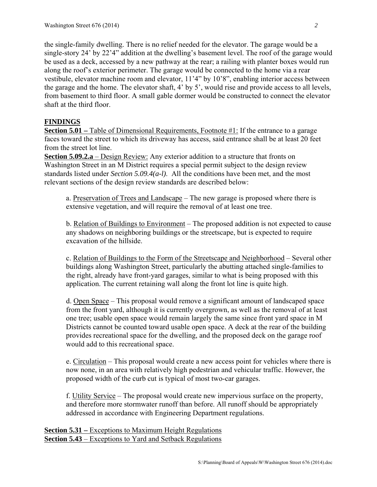the single-family dwelling. There is no relief needed for the elevator. The garage would be a single-story 24' by 22'4" addition at the dwelling's basement level. The roof of the garage would be used as a deck, accessed by a new pathway at the rear; a railing with planter boxes would run along the roof's exterior perimeter. The garage would be connected to the home via a rear vestibule, elevator machine room and elevator, 11'4" by 10'8", enabling interior access between the garage and the home. The elevator shaft, 4' by 5', would rise and provide access to all levels, from basement to third floor. A small gable dormer would be constructed to connect the elevator shaft at the third floor.

# **FINDINGS**

**Section 5.01** – Table of Dimensional Requirements, Footnote #1: If the entrance to a garage faces toward the street to which its driveway has access, said entrance shall be at least 20 feet from the street lot line.

**Section 5.09.2.a** – Design Review: Any exterior addition to a structure that fronts on Washington Street in an M District requires a special permit subject to the design review standards listed under *Section 5.09.4(a-l)*. All the conditions have been met, and the most relevant sections of the design review standards are described below:

a. Preservation of Trees and Landscape – The new garage is proposed where there is extensive vegetation, and will require the removal of at least one tree.

b. Relation of Buildings to Environment – The proposed addition is not expected to cause any shadows on neighboring buildings or the streetscape, but is expected to require excavation of the hillside.

c. Relation of Buildings to the Form of the Streetscape and Neighborhood – Several other buildings along Washington Street, particularly the abutting attached single-families to the right, already have front-yard garages, similar to what is being proposed with this application. The current retaining wall along the front lot line is quite high.

d. Open Space – This proposal would remove a significant amount of landscaped space from the front yard, although it is currently overgrown, as well as the removal of at least one tree; usable open space would remain largely the same since front yard space in M Districts cannot be counted toward usable open space. A deck at the rear of the building provides recreational space for the dwelling, and the proposed deck on the garage roof would add to this recreational space.

e. Circulation – This proposal would create a new access point for vehicles where there is now none, in an area with relatively high pedestrian and vehicular traffic. However, the proposed width of the curb cut is typical of most two-car garages.

f. Utility Service – The proposal would create new impervious surface on the property, and therefore more stormwater runoff than before. All runoff should be appropriately addressed in accordance with Engineering Department regulations.

**Section 5.31 – Exceptions to Maximum Height Regulations Section 5.43** – Exceptions to Yard and Setback Regulations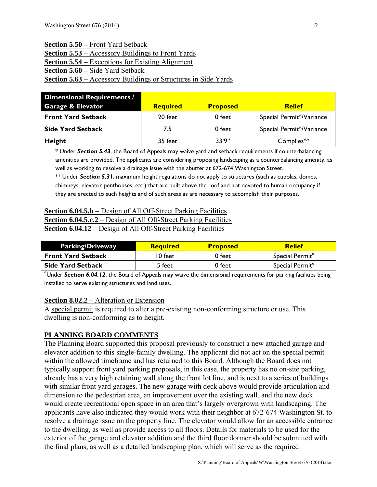#### **Section 5.50 –** Front Yard Setback

**Section 5.53** – Accessory Buildings to Front Yards

**<u>Section 5.54** – Exceptions for Existing Alignment</u>

**Section 5.60 –** Side Yard Setback

## **Section 5.63 –** Accessory Buildings or Structures in Side Yards

| <b>Dimensional Requirements /</b><br><b>Garage &amp; Elevator</b> | <b>Required</b> | <b>Proposed</b> | <b>Relief</b>            |
|-------------------------------------------------------------------|-----------------|-----------------|--------------------------|
| <b>Front Yard Setback</b>                                         | 20 feet         | 0 feet          | Special Permit*/Variance |
| <b>Side Yard Setback</b>                                          | 7.5             | 0 feet          | Special Permit*/Variance |
| Height                                                            | 35 feet         | 33'9''          | Complies**               |

\* Under *Section 5.43*, the Board of Appeals may waive yard and setback requirements if counterbalancing amenities are provided. The applicants are considering proposing landscaping as a counterbalancing amenity, as well as working to resolve a drainage issue with the abutter at 672-674 Washington Street.

\*\* Under *Section 5.31*, maximum height regulations do not apply to structures (such as cupolas, domes, chimneys, elevator penthouses, etc.) that are built above the roof and not devoted to human occupancy if they are erected to such heights and of such areas as are necessary to accomplish their purposes.

# **Section 6.04.5.b** – Design of All Off-Street Parking Facilities **Section 6.04.5.c.2** – Design of All Off-Street Parking Facilities **Section 6.04.12** – Design of All Off-Street Parking Facilities

| <b>Parking/Driveway</b>   | <b>Required</b> | <b>Proposed</b> | <b>Relief</b>                 |
|---------------------------|-----------------|-----------------|-------------------------------|
| <b>Front Yard Setback</b> | 10 feet         | 0 feet          | Special Permit $\alpha$       |
| <b>Side Yard Setback</b>  | 5 feet          | 0 feet          | Special Permit $\mathfrak{a}$ |

α Under *Section 6.04.12*, the Board of Appeals may waive the dimensional requirements for parking facilities being installed to serve existing structures and land uses.

### **Section 8.02.2 –** Alteration or Extension

A special permit is required to alter a pre-existing non-conforming structure or use. This dwelling is non-conforming as to height.

# **PLANNING BOARD COMMENTS**

The Planning Board supported this proposal previously to construct a new attached garage and elevator addition to this single-family dwelling. The applicant did not act on the special permit within the allowed timeframe and has returned to this Board. Although the Board does not typically support front yard parking proposals, in this case, the property has no on-site parking, already has a very high retaining wall along the front lot line, and is next to a series of buildings with similar front yard garages. The new garage with deck above would provide articulation and dimension to the pedestrian area, an improvement over the existing wall, and the new deck would create recreational open space in an area that's largely overgrown with landscaping. The applicants have also indicated they would work with their neighbor at 672-674 Washington St. to resolve a drainage issue on the property line. The elevator would allow for an accessible entrance to the dwelling, as well as provide access to all floors. Details for materials to be used for the exterior of the garage and elevator addition and the third floor dormer should be submitted with the final plans, as well as a detailed landscaping plan, which will serve as the required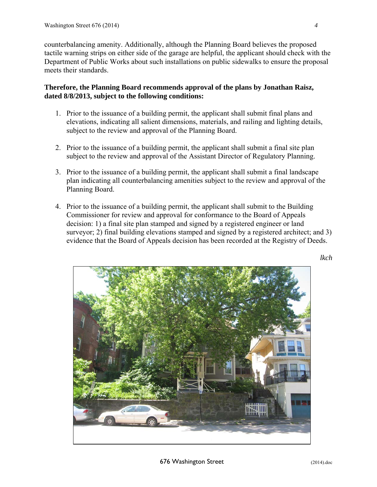counterbalancing amenity. Additionally, although the Planning Board believes the proposed tactile warning strips on either side of the garage are helpful, the applicant should check with the Department of Public Works about such installations on public sidewalks to ensure the proposal meets their standards.

# **Therefore, the Planning Board recommends approval of the plans by Jonathan Raisz, dated 8/8/2013, subject to the following conditions:**

- 1. Prior to the issuance of a building permit, the applicant shall submit final plans and elevations, indicating all salient dimensions, materials, and railing and lighting details, subject to the review and approval of the Planning Board.
- 2. Prior to the issuance of a building permit, the applicant shall submit a final site plan subject to the review and approval of the Assistant Director of Regulatory Planning.
- 3. Prior to the issuance of a building permit, the applicant shall submit a final landscape plan indicating all counterbalancing amenities subject to the review and approval of the Planning Board.
- 4. Prior to the issuance of a building permit, the applicant shall submit to the Building Commissioner for review and approval for conformance to the Board of Appeals decision: 1) a final site plan stamped and signed by a registered engineer or land surveyor; 2) final building elevations stamped and signed by a registered architect; and 3) evidence that the Board of Appeals decision has been recorded at the Registry of Deeds.



*lkch*